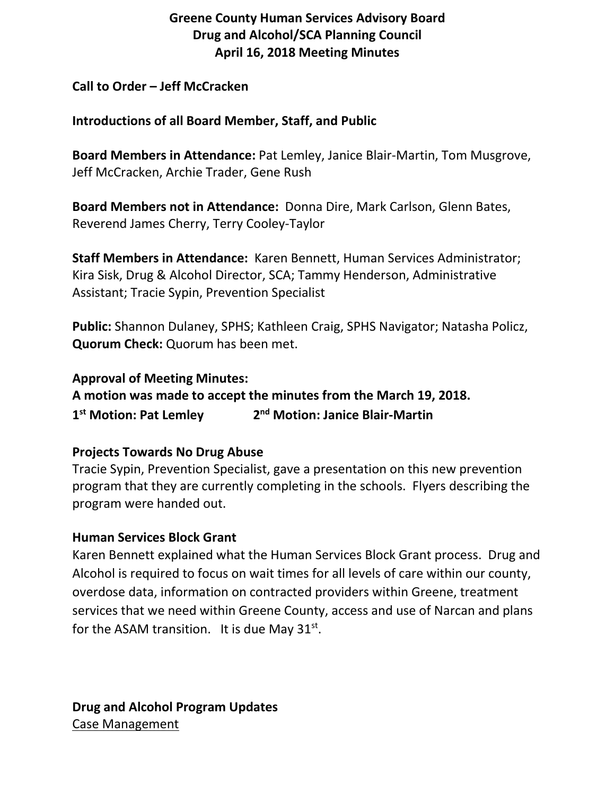# **Greene County Human Services Advisory Board Drug and Alcohol/SCA Planning Council April 16, 2018 Meeting Minutes**

### **Call to Order – Jeff McCracken**

### **Introductions of all Board Member, Staff, and Public**

**Board Members in Attendance:** Pat Lemley, Janice Blair-Martin, Tom Musgrove, Jeff McCracken, Archie Trader, Gene Rush

**Board Members not in Attendance:** Donna Dire, Mark Carlson, Glenn Bates, Reverend James Cherry, Terry Cooley-Taylor

**Staff Members in Attendance:** Karen Bennett, Human Services Administrator; Kira Sisk, Drug & Alcohol Director, SCA; Tammy Henderson, Administrative Assistant; Tracie Sypin, Prevention Specialist

**Public:** Shannon Dulaney, SPHS; Kathleen Craig, SPHS Navigator; Natasha Policz, **Quorum Check:** Quorum has been met.

**Approval of Meeting Minutes:**

**A motion was made to accept the minutes from the March 19, 2018. 1st Motion: Pat Lemley 2nd Motion: Janice Blair-Martin**

### **Projects Towards No Drug Abuse**

Tracie Sypin, Prevention Specialist, gave a presentation on this new prevention program that they are currently completing in the schools. Flyers describing the program were handed out.

### **Human Services Block Grant**

Karen Bennett explained what the Human Services Block Grant process. Drug and Alcohol is required to focus on wait times for all levels of care within our county, overdose data, information on contracted providers within Greene, treatment services that we need within Greene County, access and use of Narcan and plans for the ASAM transition. It is due May  $31^{st}$ .

**Drug and Alcohol Program Updates** Case Management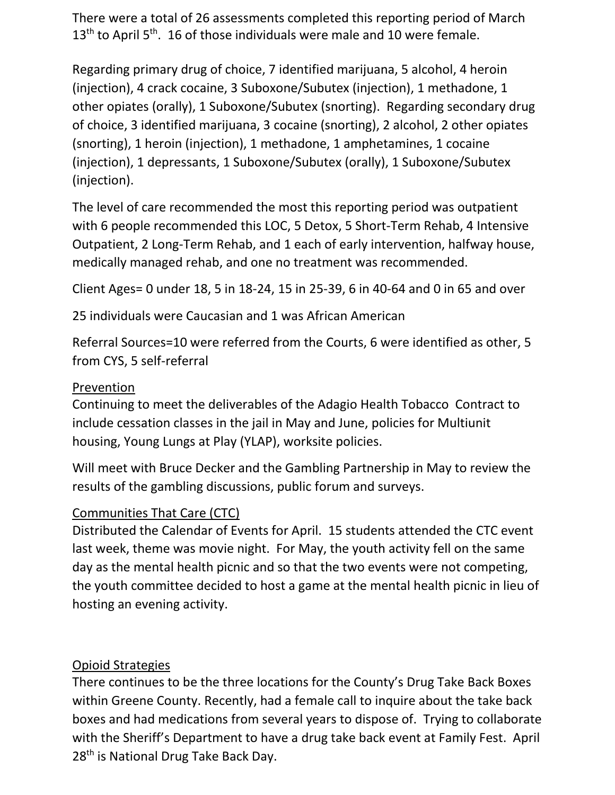There were a total of 26 assessments completed this reporting period of March  $13<sup>th</sup>$  to April 5<sup>th</sup>. 16 of those individuals were male and 10 were female.

Regarding primary drug of choice, 7 identified marijuana, 5 alcohol, 4 heroin (injection), 4 crack cocaine, 3 Suboxone/Subutex (injection), 1 methadone, 1 other opiates (orally), 1 Suboxone/Subutex (snorting). Regarding secondary drug of choice, 3 identified marijuana, 3 cocaine (snorting), 2 alcohol, 2 other opiates (snorting), 1 heroin (injection), 1 methadone, 1 amphetamines, 1 cocaine (injection), 1 depressants, 1 Suboxone/Subutex (orally), 1 Suboxone/Subutex (injection).

The level of care recommended the most this reporting period was outpatient with 6 people recommended this LOC, 5 Detox, 5 Short-Term Rehab, 4 Intensive Outpatient, 2 Long-Term Rehab, and 1 each of early intervention, halfway house, medically managed rehab, and one no treatment was recommended.

Client Ages= 0 under 18, 5 in 18-24, 15 in 25-39, 6 in 40-64 and 0 in 65 and over

25 individuals were Caucasian and 1 was African American

Referral Sources=10 were referred from the Courts, 6 were identified as other, 5 from CYS, 5 self-referral

## Prevention

Continuing to meet the deliverables of the Adagio Health Tobacco Contract to include cessation classes in the jail in May and June, policies for Multiunit housing, Young Lungs at Play (YLAP), worksite policies.

Will meet with Bruce Decker and the Gambling Partnership in May to review the results of the gambling discussions, public forum and surveys.

# Communities That Care (CTC)

Distributed the Calendar of Events for April. 15 students attended the CTC event last week, theme was movie night. For May, the youth activity fell on the same day as the mental health picnic and so that the two events were not competing, the youth committee decided to host a game at the mental health picnic in lieu of hosting an evening activity.

# Opioid Strategies

There continues to be the three locations for the County's Drug Take Back Boxes within Greene County. Recently, had a female call to inquire about the take back boxes and had medications from several years to dispose of. Trying to collaborate with the Sheriff's Department to have a drug take back event at Family Fest. April 28<sup>th</sup> is National Drug Take Back Day.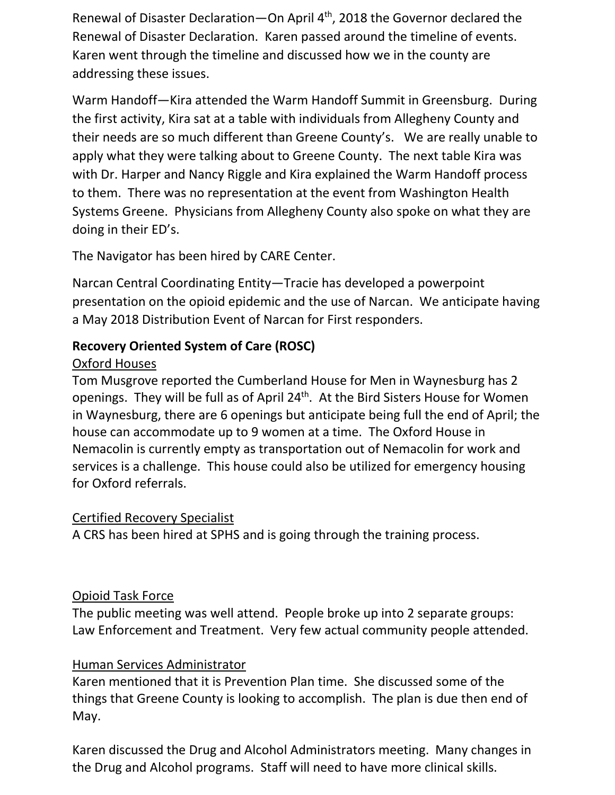Renewal of Disaster Declaration—On April 4<sup>th</sup>, 2018 the Governor declared the Renewal of Disaster Declaration. Karen passed around the timeline of events. Karen went through the timeline and discussed how we in the county are addressing these issues.

Warm Handoff—Kira attended the Warm Handoff Summit in Greensburg. During the first activity, Kira sat at a table with individuals from Allegheny County and their needs are so much different than Greene County's. We are really unable to apply what they were talking about to Greene County. The next table Kira was with Dr. Harper and Nancy Riggle and Kira explained the Warm Handoff process to them. There was no representation at the event from Washington Health Systems Greene. Physicians from Allegheny County also spoke on what they are doing in their ED's.

The Navigator has been hired by CARE Center.

Narcan Central Coordinating Entity—Tracie has developed a powerpoint presentation on the opioid epidemic and the use of Narcan. We anticipate having a May 2018 Distribution Event of Narcan for First responders.

# **Recovery Oriented System of Care (ROSC)**

## Oxford Houses

Tom Musgrove reported the Cumberland House for Men in Waynesburg has 2 openings. They will be full as of April 24<sup>th</sup>. At the Bird Sisters House for Women in Waynesburg, there are 6 openings but anticipate being full the end of April; the house can accommodate up to 9 women at a time. The Oxford House in Nemacolin is currently empty as transportation out of Nemacolin for work and services is a challenge. This house could also be utilized for emergency housing for Oxford referrals.

# Certified Recovery Specialist

A CRS has been hired at SPHS and is going through the training process.

# Opioid Task Force

The public meeting was well attend. People broke up into 2 separate groups: Law Enforcement and Treatment. Very few actual community people attended.

# Human Services Administrator

Karen mentioned that it is Prevention Plan time. She discussed some of the things that Greene County is looking to accomplish. The plan is due then end of May.

Karen discussed the Drug and Alcohol Administrators meeting. Many changes in the Drug and Alcohol programs. Staff will need to have more clinical skills.